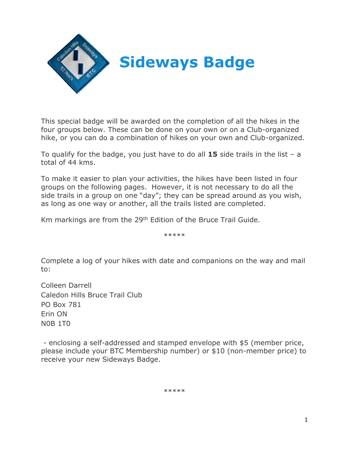

This special badge will be awarded on the completion of all the hikes in the four groups below. These can be done on your own or on a Club-organized hike, or you can do a combination of hikes on your own and Club-organized.

To qualify for the badge, you just have to do all **15** side trails in the list – a total of 44 kms.

To make it easier to plan your activities, the hikes have been listed in four groups on the following pages. However, it is not necessary to do all the side trails in a group on one "day"; they can be spread around as you wish, as long as one way or another, all the trails listed are completed.

Km markings are from the 29<sup>th</sup> Edition of the Bruce Trail Guide.

\*\*\*\*\*

Complete a log of your hikes with date and companions on the way and mail to:

Colleen Darrell Caledon Hills Bruce Trail Club PO Box 781 Erin ON N0B 1T0

- enclosing a self-addressed and stamped envelope with \$5 (member price, please include your BTC Membership number) or \$10 (non-member price) to receive your new Sideways Badge.

\*\*\*\*\*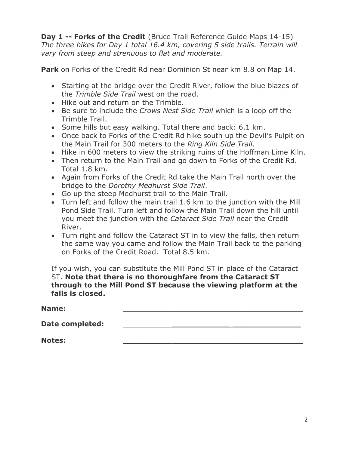**Day 1 -- Forks of the Credit** (Bruce Trail Reference Guide Maps 14-15) *The three hikes for Day 1 total 16.4 km, covering 5 side trails. Terrain will vary from steep and strenuous to flat and moderate.*

**Park** on Forks of the Credit Rd near Dominion St near km 8.8 on Map 14.

- Starting at the bridge over the Credit River, follow the blue blazes of the *Trimble Side Trail* west on the road.
- Hike out and return on the Trimble.
- Be sure to include the *Crows Nest Side Trail* which is a loop off the Trimble Trail.
- Some hills but easy walking. Total there and back: 6.1 km.
- Once back to Forks of the Credit Rd hike south up the Devil's Pulpit on the Main Trail for 300 meters to the *Ring Kiln Side Trail*.
- Hike in 600 meters to view the striking ruins of the Hoffman Lime Kiln.
- Then return to the Main Trail and go down to Forks of the Credit Rd. Total 1.8 km.
- Again from Forks of the Credit Rd take the Main Trail north over the bridge to the *Dorothy Medhurst Side Trail*.
- Go up the steep Medhurst trail to the Main Trail.
- Turn left and follow the main trail 1.6 km to the junction with the Mill Pond Side Trail. Turn left and follow the Main Trail down the hill until you meet the junction with the *Cataract Side Trail* near the Credit River.
- Turn right and follow the Cataract ST in to view the falls, then return the same way you came and follow the Main Trail back to the parking on Forks of the Credit Road. Total 8.5 km.

If you wish, you can substitute the Mill Pond ST in place of the Cataract ST. **Note that there is no thoroughfare from the Cataract ST through to the Mill Pond ST because the viewing platform at the falls is closed.**

**Name: \_\_\_\_\_\_\_\_\_\_\_\_\_\_\_\_\_\_\_\_\_\_\_\_\_\_\_\_\_\_\_\_\_\_\_\_\_**

**Date completed: \_\_\_\_\_\_\_\_\_\_\_\_ \_\_\_\_\_\_\_\_\_\_\_\_\_\_**

**Notes: \_\_\_\_\_\_\_\_\_\_ \_\_\_\_\_\_\_\_\_\_\_\_\_\_**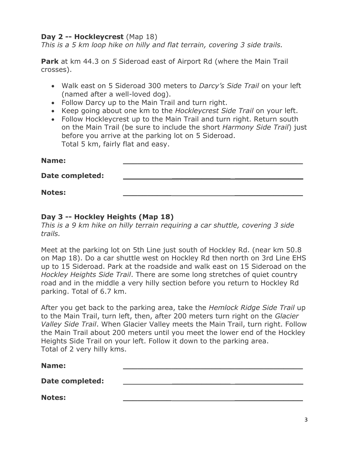## **Day 2 -- Hockleycrest** (Map 18)

*This is a 5 km loop hike on hilly and flat terrain, covering 3 side trails.*

**Park** at km 44.3 on *5* Sideroad east of Airport Rd (where the Main Trail crosses).

- Walk east on 5 Sideroad 300 meters to *Darcy's Side Trail* on your left (named after a well-loved dog).
- Follow Darcy up to the Main Trail and turn right.
- Keep going about one km to the *Hockleycrest Side Trail* on your left.
- Follow Hockleycrest up to the Main Trail and turn right. Return south on the Main Trail (be sure to include the short *Harmony Side Trail*) just before you arrive at the parking lot on 5 Sideroad. Total 5 km, fairly flat and easy.

| Name:                  |  |
|------------------------|--|
| <b>Date completed:</b> |  |
| <b>Notes:</b>          |  |

## **Day 3 -- Hockley Heights (Map 18)**

*This is a 9 km hike on hilly terrain requiring a car shuttle, covering 3 side trails.*

Meet at the parking lot on 5th Line just south of Hockley Rd. (near km 50.8 on Map 18). Do a car shuttle west on Hockley Rd then north on 3rd Line EHS up to 15 Sideroad. Park at the roadside and walk east on 15 Sideroad on the *Hockley Heights Side Trail*. There are some long stretches of quiet country road and in the middle a very hilly section before you return to Hockley Rd parking. Total of 6.7 km.

After you get back to the parking area, take the *Hemlock Ridge Side Trail* up to the Main Trail, turn left, then, after 200 meters turn right on the *Glacier Valley Side Trail*. When Glacier Valley meets the Main Trail, turn right. Follow the Main Trail about 200 meters until you meet the lower end of the Hockley Heights Side Trail on your left. Follow it down to the parking area. Total of 2 very hilly kms.

| Name:                  |  |
|------------------------|--|
| <b>Date completed:</b> |  |
| <b>Notes:</b>          |  |